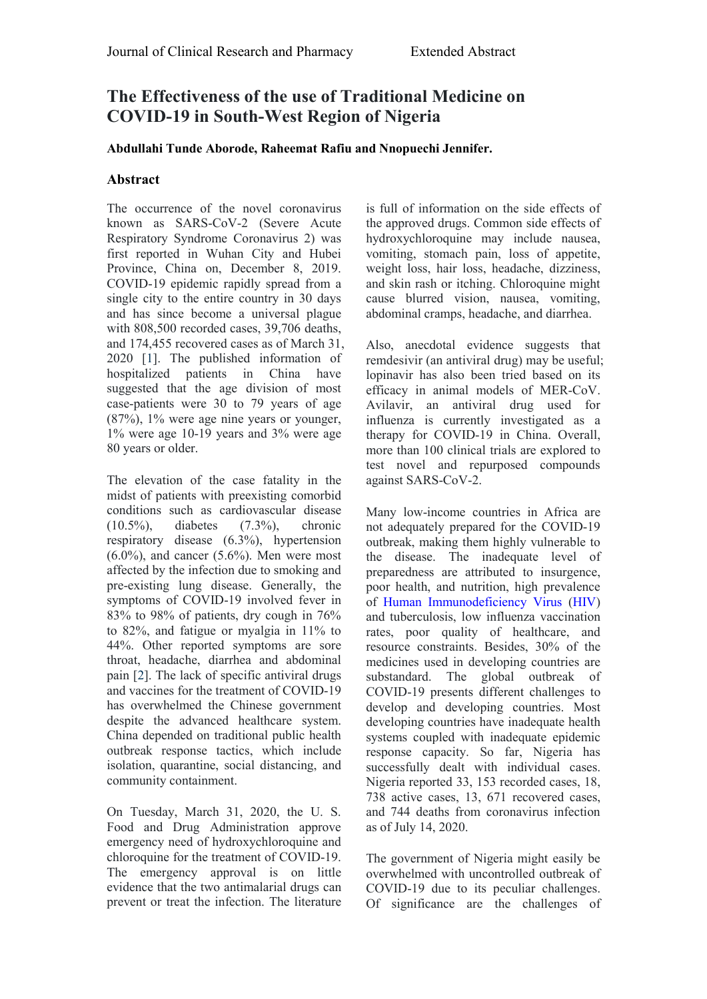# **The Effectiveness ofthe use of Traditional Medicine on COVID-19 in South-West Region of Nigeria**

### **[Abdullahi](https://www.hilarispublisher.com/author/abdullahi-tunde-aborode-1685) Tunde Aborode, [Raheemat](https://www.hilarispublisher.com/author/raheemat-rafiu-1686) Rafiu and [Nnopuechi](https://www.hilarispublisher.com/author/nnopuechi-jennifer-1687) Jennifer.**

# **Abstract**

The occurrence of the novel coronavirus known as SARS-CoV-2 (Severe Acute the approved drugs. Common side effects of Respiratory Syndrome Coronavirus 2) was hydroxychloroquine may include nausea, Respiratory Syndrome Coronavirus 2) was first reported in Wuhan City and Hubei Province, China on, December 8, 2019. COVID-19 epidemic rapidly spread from a single city to the entire country in 30 days and has since become a universal plague with 808,500 recorded cases, 39,706 deaths, and 174,455 recovered cases as of March 31, 2020 [\[1\]](https://www.hilarispublisher.com/open-access/the-effectiveness-of-the-use-of-traditional-medicine-on-covid19-in-southwest-region-of-nigeria-48661.html). The published information of hospitalized patients in China have suggested that the age division of most case-patients were 30 to 79 years of age (87%), 1% were age nine years or younger, 1% were age 10-19 years and 3% were age 80 years or older.

The elevation of the case fatality in the midst of patients with preexisting comorbid conditions such as cardiovascular disease (10.5%), diabetes (7.3%), chronic not adequately prepared for the COVID-19 respiratory disease  $(6.3\%)$ , hypertension  $(6.0\%)$ , and cancer  $(5.6\%)$ . Men were most affected by the infection due to smoking and pre-existing lung disease. Generally, the symptoms of COVID-19 involved fever in 83% to 98% of patients, dry cough in 76% to 82%, and fatigue or myalgia in 11% to 44%. Other reported symptoms are sore throat, headache, diarrhea and abdominal pain [[2](https://www.hilarispublisher.com/open-access/the-effectiveness-of-the-use-of-traditional-medicine-on-covid19-in-southwest-region-of-nigeria-48661.html)]. The lack of specific antiviral drugs and vaccines for the treatment of COVID-19 has overwhelmed the Chinese government despite the advanced healthcare system. China depended on traditional public health outbreak response tactics, which include isolation, quarantine, social distancing, and community containment.

On Tuesday, March 31, 2020, the U. S. Food and Drug Administration approve emergency need of hydroxychloroquine and chloroquine for the treatment of COVID-19. The emergency approval is on little evidence that the two antimalarial drugs can prevent or treat the infection. The literature is full of information on the side effects of the approved drugs. Common side effects of vomiting, stomach pain, loss of appetite, weight loss, hair loss, headache, dizziness, and skin rash or itching. Chloroquine might cause blurred vision, nausea, vomiting, abdominal cramps, headache, and diarrhea.

Also, anecdotal evidence suggests that remdesivir (an antiviral drug) may be useful; lopinavir has also been tried based on its efficacy in animal models of MER-CoV. Avilavir, an antiviral drug used for influenza is currently investigated as a therapy for COVID-19 in China. Overall, more than 100 clinical trials are explored to test novel and repurposed compounds against SARS-CoV-2.

Many low-income countries in Africa are outbreak, making them highly vulnerable to the disease. The inadequate level of preparedness are attributed to insurgence, poor health, and nutrition, high prevalence of Human [Immunodeficiency](https://www.hilarispublisher.com/open-access-journals/human-immunodeficiency-virus-717.html) Virus [\(HIV](https://www.hilarispublisher.com/open-access-journals/hiv-398.html)) and tuberculosis, low influenza vaccination rates, poor quality of healthcare, and resource constraints. Besides, 30% of the medicines used in developing countries are substandard. The global outbreak of COVID-19 presents different challenges to develop and developing countries. Most developing countries have inadequate health systems coupled with inadequate epidemic response capacity. So far, Nigeria has successfully dealt with individual cases. Nigeria reported 33, 153 recorded cases, 18, 738 active cases, 13, 671 recovered cases, and 744 deaths from coronavirus infection as of July 14, 2020.

The government of Nigeria might easily be overwhelmed with uncontrolled outbreak of COVID-19 due to its peculiar challenges. Of significance are the challenges of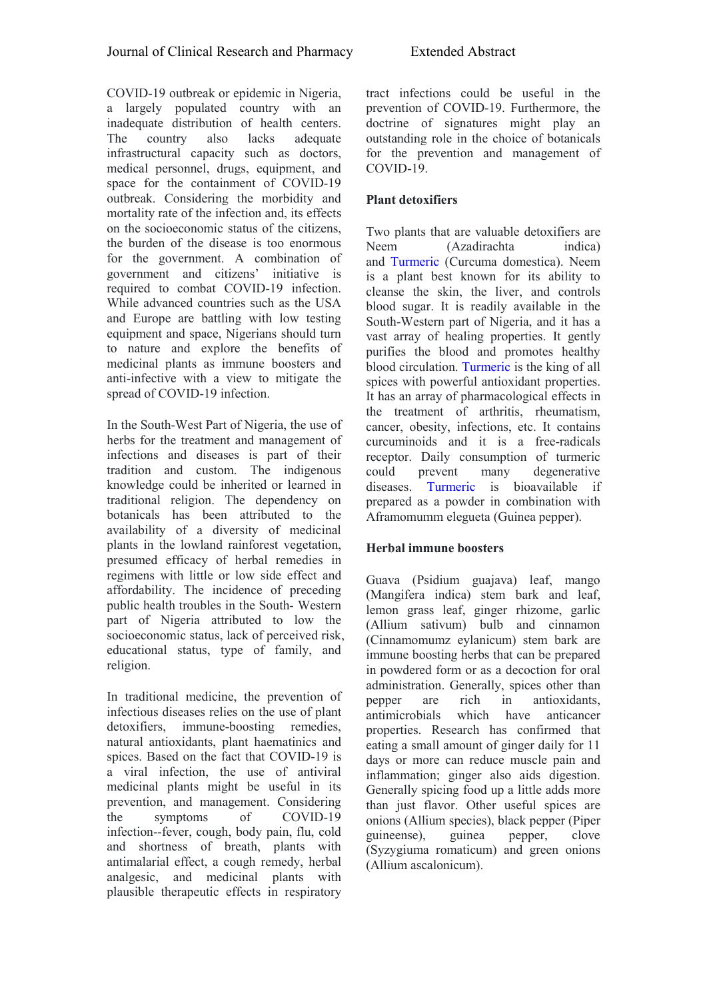COVID-19 outbreak or epidemic in Nigeria, a largely populated country with an inadequate distribution of health centers. The country also lacks adequate outstanding role in the choice of botanicals infrastructural capacity such as doctors, medical personnel, drugs, equipment, and space for the containment of COVID-19 outbreak. Considering the morbidity and mortality rate of the infection and, its effects<br>on the socioeconomic status of the citizens, the burden of the disease is too enormous  $N_{\text{eem}}$ for the government. A combination of government and citizens' initiative is required to combat COVID-19 infection. While advanced countries such as the USA and Europe are battling with low testing equipment and space, Nigerians should turn to nature and explore the benefits of medicinal plants as immune boosters and anti-infective with a view to mitigate the spread of COVID-19 infection.

In the South-West Part of Nigeria, the use of herbs for the treatment and management of infections and diseases is part of their tradition and custom. The indigenous knowledge could be inherited or learned in traditional religion. The dependency on botanicals has been attributed to the availability of a diversity of medicinal plants in the lowland rainforest vegetation, presumed efficacy of herbal remedies in regimens with little or low side effect and affordability. The incidence of preceding public health troubles in the South- Western part of Nigeria attributed to low the socioeconomic status, lack of perceived risk, educational status, type of family, and religion.

In traditional medicine, the prevention of person are infectious diseases relies on the use of plant detoxifiers, immune-boosting remedies, natural antioxidants, plant haematinics and spices. Based on the fact that COVID-19 is a viral infection, the use of antiviral medicinal plants might be useful in its prevention, and management. Considering the symptoms of COVID-19 onions (Allium species), black pepper (Piper infection--fever, cough, body pain, flu, cold guineense), guinea and shortness of breath, plants with antimalarial effect, a cough remedy, herbal analgesic, and medicinal plants with plausible therapeutic effects in respiratory

tract infections could be useful in the prevention of COVID-19. Furthermore, the doctrine of signatures might play an for the prevention and management of COVID-19.

# **Plant detoxifiers**

Two plants that are valuable detoxifiers are (Azadirachta indica) and [Turmeric](https://www.hilarispublisher.com/open-access-journals/turmeric-6779.html) (Curcuma domestica). Neem is a plant best known for its ability to cleanse the skin, the liver, and controls blood sugar. It is readily available in the South-Western part of Nigeria, and it has a vast array of healing properties. It gently purifies the blood and promotes healthy blood circulation. [Turmeric](https://www.hilarispublisher.com/open-access-journals/turmeric-6779.html) is the king of all spices with powerful antioxidant properties. It has an array of pharmacological effects in the treatment of arthritis, rheumatism, cancer, obesity, infections, etc. It contains curcuminoids and it is a free-radicals receptor. Daily consumption of turmeric many degenerative diseases. [Turmeric](https://www.hilarispublisher.com/open-access-journals/turmeric-6779.html) is bioavailable if prepared as a powder in combination with Aframomumm elegueta (Guinea pepper).

#### **Herbal immune boosters**

Guava (Psidium guajava) leaf, mango (Mangifera indica) stem bark and leaf, lemon grass leaf, ginger rhizome, garlic (Allium sativum) bulb and cinnamon (Cinnamomumz eylanicum) stem bark are immune boosting herbs that can be prepared in powdered form or as a decoction for oral administration. Generally, spices other than rich in antioxidants, antimicrobials which have anticancer properties. Research has confirmed that eating a small amount of ginger daily for 11 days or more can reduce muscle pain and inflammation; ginger also aids digestion. Generally spicing food up a little adds more than just flavor. Other useful spices are guineense), guinea pepper, clove (Syzygiuma romaticum) and green onions (Allium ascalonicum).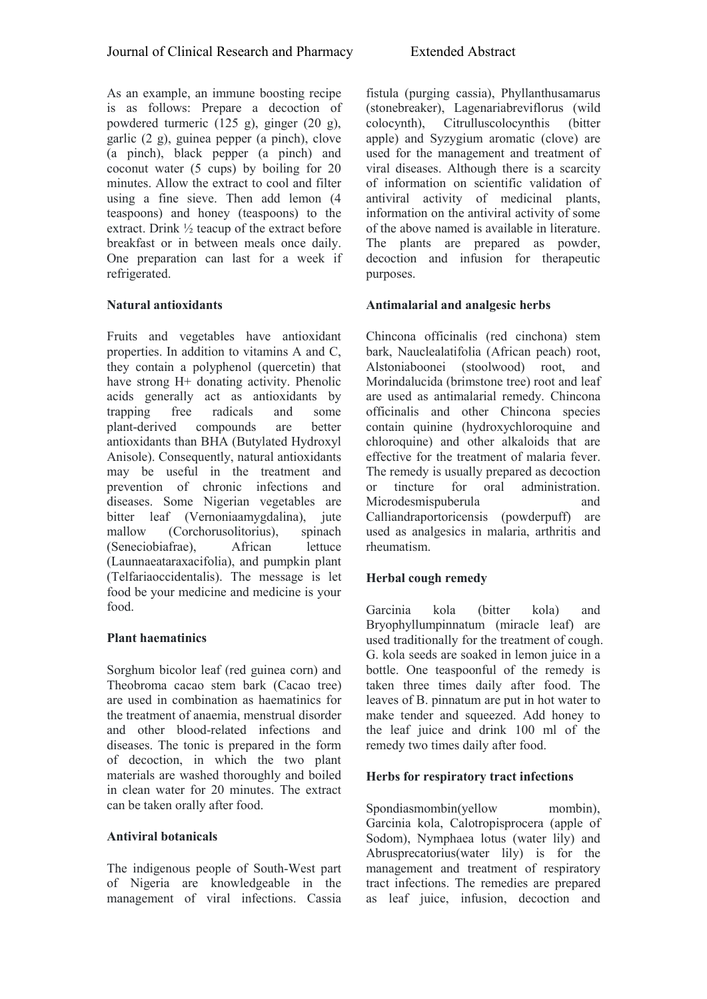As an example, an immune boosting recipe is as follows: Prepare a decoction of powdered turmeric (125 g), ginger (20 g), garlic (2 g), guinea pepper (a pinch), clove (a pinch), black pepper (a pinch) and coconut water (5 cups) by boiling for 20 minutes. Allow the extract to cool and filter using a fine sieve. Then add lemon (4) teaspoons) and honey (teaspoons) to the extract. Drink ½ teacup of the extract before breakfast or in between meals once daily. One preparation can last for a week if refrigerated.

# **Natural antioxidants**

Fruits and vegetables have antioxidant properties. In addition to vitamins A and C, they contain a polyphenol (quercetin) that have strong H+ donating activity. Phenolic acids generally act as antioxidants by<br>trapping free radicals and some trapping free radicals and some<br>plant-derived compounds are better plant-derived compounds are better antioxidants than BHA (Butylated Hydroxyl Anisole). Consequently, natural antioxidants may be useful in the treatment and prevention of chronic infections and diseases. Some Nigerian vegetables are bitter leaf (Vernoniaamygdalina), jute mallow (Corchorusolitorius), spinach (Seneciobiafrae), African lettuce (Launnaeataraxacifolia), and pumpkin plant (Telfariaoccidentalis). The message is let food be your medicine and medicine is your food.

#### **Plant haematinics**

Sorghum bicolor leaf (red guinea corn) and Theobroma cacao stem bark (Cacao tree) are used in combination as haematinics for the treatment of anaemia, menstrual disorder and other blood-related infections and diseases. The tonic is prepared in the form of decoction, in which the two plant materials are washed thoroughly and boiled in clean water for 20 minutes. The extract can be taken orally after food.

#### **Antiviral botanicals**

The indigenous people of South-West part of Nigeria are knowledgeable in the management of viral infections. Cassia fistula (purging cassia), Phyllanthusamarus (stonebreaker), Lagenariabreviflorus (wild Citrulluscolocynthis (bitter apple) and Syzygium aromatic (clove) are used for the management and treatment of viral diseases. Although there is a scarcity of information on scientific validation of antiviral activity of medicinal plants, information on the antiviral activity of some of the above named is available in literature. The plants are prepared as powder, decoction and infusion for therapeutic purposes.

# **Antimalarial and analgesic herbs**

Chincona officinalis (red cinchona) stem bark, Nauclealatifolia (African peach) root, Alstoniaboonei (stoolwood) root, and Morindalucida (brimstone tree) root and leaf are used as antimalarial remedy. Chincona officinalis and other Chincona species contain quinine (hydroxychloroquine and chloroquine) and other alkaloids that are effective for the treatment of malaria fever. The remedy is usually prepared as decoction for oral administration. Microdesmispuberula and and Calliandraportoricensis (powderpuff) are used as analgesics in malaria, arthritis and rheumatism.

# **Herbal cough remedy**

Garcinia kola (bitter kola) and Bryophyllumpinnatum (miracle leaf) are used traditionally for the treatment of cough. G. kola seeds are soaked in lemon juice in a bottle. One teaspoonful of the remedy is taken three times daily after food. The leaves of B. pinnatum are put in hot water to make tender and squeezed. Add honey to the leaf juice and drink 100 ml of the remedy two times daily after food.

#### **Herbs for respiratory tract infections**

Spondiasmombin(yellow mombin), Garcinia kola, Calotropisprocera (apple of Sodom), Nymphaea lotus (water lily) and Abrusprecatorius(water lily) is for the management and treatment of respiratory tract infections. The remedies are prepared as leaf juice, infusion, decoction and